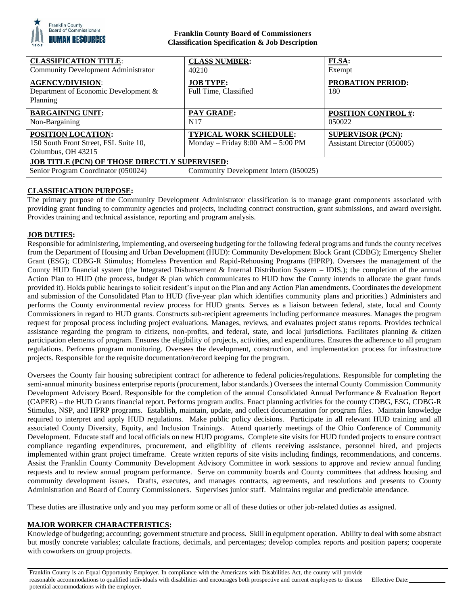

## **Franklin County Board of Commissioners Classification Specification & Job Description**

| <b>CLASSIFICATION TITLE:</b><br><b>Community Development Administrator</b>                                                           | <b>CLASS NUMBER:</b><br>40210                                        | FLSA:<br>Exempt                                         |
|--------------------------------------------------------------------------------------------------------------------------------------|----------------------------------------------------------------------|---------------------------------------------------------|
| <b>AGENCY/DIVISION:</b><br>Department of Economic Development &<br>Planning                                                          | <b>JOB TYPE:</b><br>Full Time, Classified                            | <b>PROBATION PERIOD:</b><br>180                         |
| <b>BARGAINING UNIT:</b><br>Non-Bargaining                                                                                            | <b>PAY GRADE:</b><br>N <sub>17</sub>                                 | <b>POSITION CONTROL #:</b><br>050022                    |
| <b>POSITION LOCATION:</b><br>150 South Front Street, FSL Suite 10,<br>Columbus, OH 43215                                             | <b>TYPICAL WORK SCHEDULE:</b><br>Monday – Friday $8:00 AM - 5:00 PM$ | <b>SUPERVISOR (PCN):</b><br>Assistant Director (050005) |
| <b>JOB TITLE (PCN) OF THOSE DIRECTLY SUPERVISED:</b><br>Senior Program Coordinator (050024)<br>Community Development Intern (050025) |                                                                      |                                                         |

# **CLASSIFICATION PURPOSE:**

The primary purpose of the Community Development Administrator classification is to manage grant components associated with providing grant funding to community agencies and projects, including contract construction, grant submissions, and award oversight. Provides training and technical assistance, reporting and program analysis.

## **JOB DUTIES:**

Responsible for administering, implementing, and overseeing budgeting for the following federal programs and funds the county receives from the Department of Housing and Urban Development (HUD): Community Development Block Grant (CDBG); Emergency Shelter Grant (ESG); CDBG-R Stimulus; Homeless Prevention and Rapid-Rehousing Programs (HPRP). Oversees the management of the County HUD financial system (the Integrated Disbursement & Internal Distribution System – IDIS.); the completion of the annual Action Plan to HUD (the process, budget & plan which communicates to HUD how the County intends to allocate the grant funds provided it). Holds public hearings to solicit resident's input on the Plan and any Action Plan amendments. Coordinates the development and submission of the Consolidated Plan to HUD (five-year plan which identifies community plans and priorities.) Administers and performs the County environmental review process for HUD grants. Serves as a liaison between federal, state, local and County Commissioners in regard to HUD grants. Constructs sub-recipient agreements including performance measures. Manages the program request for proposal process including project evaluations. Manages, reviews, and evaluates project status reports. Provides technical assistance regarding the program to citizens, non-profits, and federal, state, and local jurisdictions. Facilitates planning & citizen participation elements of program. Ensures the eligibility of projects, activities, and expenditures. Ensures the adherence to all program regulations. Performs program monitoring. Oversees the development, construction, and implementation process for infrastructure projects. Responsible for the requisite documentation/record keeping for the program.

Oversees the County fair housing subrecipient contract for adherence to federal policies/regulations. Responsible for completing the semi-annual minority business enterprise reports (procurement, labor standards.) Oversees the internal County Commission Community Development Advisory Board. Responsible for the completion of the annual Consolidated Annual Performance & Evaluation Report (CAPER) – the HUD Grants financial report. Performs program audits. Enact planning activities for the county CDBG, ESG, CDBG-R Stimulus, NSP, and HPRP programs. Establish, maintain, update, and collect documentation for program files. Maintain knowledge required to interpret and apply HUD regulations. Make public policy decisions. Participate in all relevant HUD training and all associated County Diversity, Equity, and Inclusion Trainings. Attend quarterly meetings of the Ohio Conference of Community Development. Educate staff and local officials on new HUD programs. Complete site visits for HUD funded projects to ensure contract compliance regarding expenditures, procurement, and eligibility of clients receiving assistance, personnel hired, and projects implemented within grant project timeframe. Create written reports of site visits including findings, recommendations, and concerns. Assist the Franklin County Community Development Advisory Committee in work sessions to approve and review annual funding requests and to review annual program performance. Serve on community boards and County committees that address housing and community development issues. Drafts, executes, and manages contracts, agreements, and resolutions and presents to County Administration and Board of County Commissioners. Supervises junior staff. Maintains regular and predictable attendance.

These duties are illustrative only and you may perform some or all of these duties or other job-related duties as assigned.

## **MAJOR WORKER CHARACTERISTICS:**

Knowledge of budgeting; accounting; government structure and process. Skill in equipment operation. Ability to deal with some abstract but mostly concrete variables; calculate fractions, decimals, and percentages; develop complex reports and position papers; cooperate with coworkers on group projects.

Franklin County is an Equal Opportunity Employer. In compliance with the Americans with Disabilities Act, the county will provide reasonable accommodations to qualified individuals with disabilities and encourages both prospective and current employees to discuss potential accommodations with the employer. Effective Date: